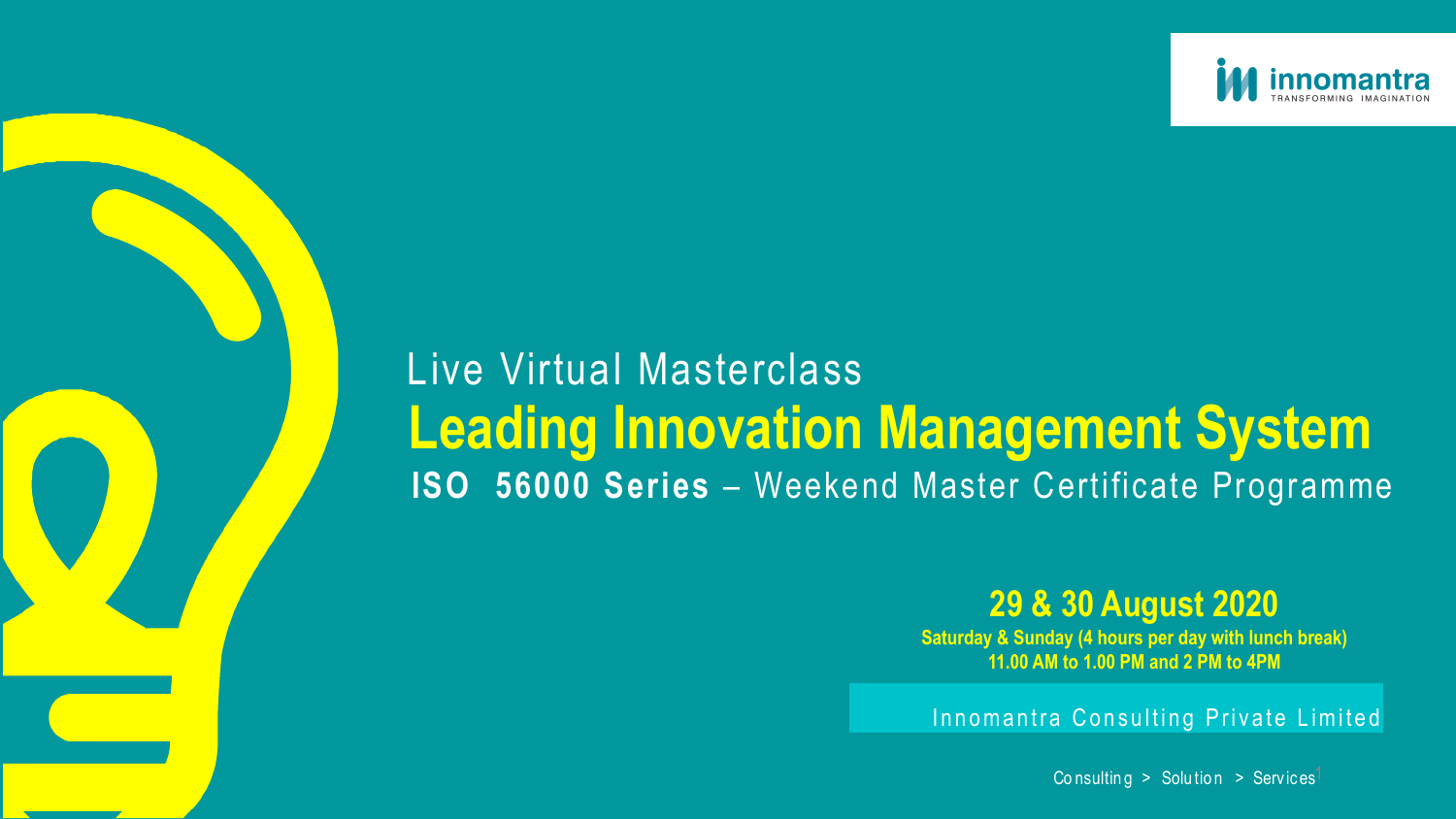Innomantra Consulting Private Limited

Co n sulting  $>$  Solution  $>$  Services<sup>1</sup>

# Live Virtual Masterclass **Leading Innovation Management System ISO 56000 Series** – Weekend Master Certificate Programme



## **29 & 30 August 2020**

**Saturday & Sunday (4 hours per day with lunch break) 11.00 AM to 1.00 PM and 2 PM to 4PM**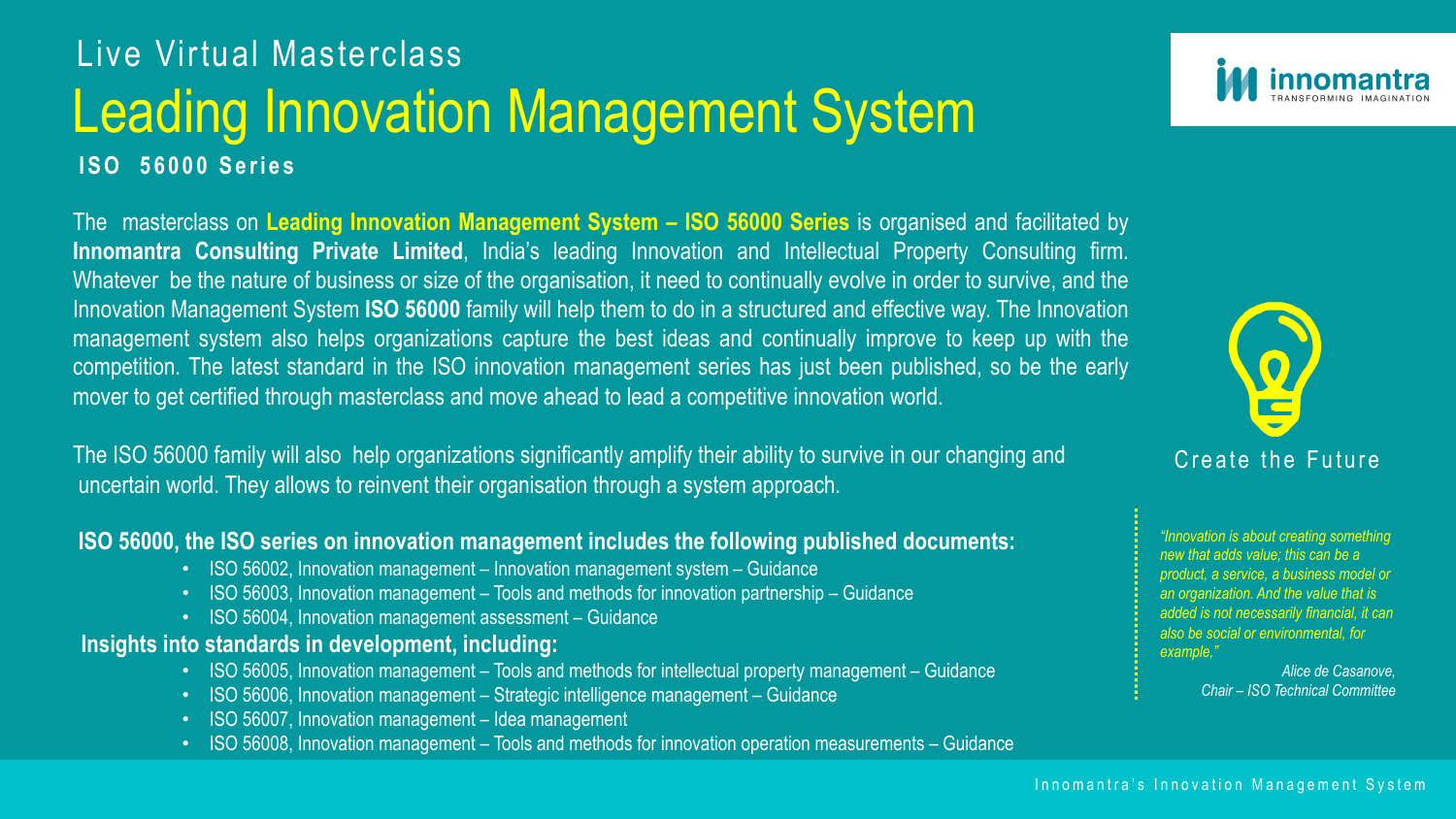### Create the Future

#### Innomantra's Innovation Management System

The masterclass on **Leading Innovation Management System – ISO 56000 Series** is organised and facilitated by **Innomantra Consulting Private Limited**, India's leading Innovation and Intellectual Property Consulting firm. Whatever be the nature of business or size of the organisation, it need to continually evolve in order to survive, and the Innovation Management System **ISO 56000** family will help them to do in a structured and effective way. The Innovation management system also helps organizations capture the best ideas and continually improve to keep up with the competition. The latest standard in the ISO innovation management series has just been published, so be the early mover to get certified through masterclass and move ahead to lead a competitive innovation world.

- ISO 56005, Innovation management Tools and methods for intellectual property management Guidance
- ISO 56006, Innovation management Strategic intelligence management Guidance
- ISO 56007, Innovation management Idea management
- ISO 56008, Innovation management Tools and methods for innovation operation measurements Guidance





The ISO 56000 family will also help organizations significantly amplify their ability to survive in our changing and uncertain world. They allows to reinvent their organisation through a system approach.

#### **ISO 56000, the ISO series on innovation management includes the following published documents:**

- ISO 56002, Innovation management Innovation management system Guidance
- ISO 56003, Innovation management Tools and methods for innovation partnership Guidance
- ISO 56004, Innovation management assessment Guidance

#### **Insights into standards in development, including:**

*"Innovation is about creating something new that adds value; this can be a product, a service, a business model or an organization. And the value that is added is not necessarily financial, it can also be social or environmental, for example,"* 

> *Alice de Casanove, Chair – ISO Technical Committee*

# Leading Innovation Management System Live Virtual Masterclass **ISO 56000 Series**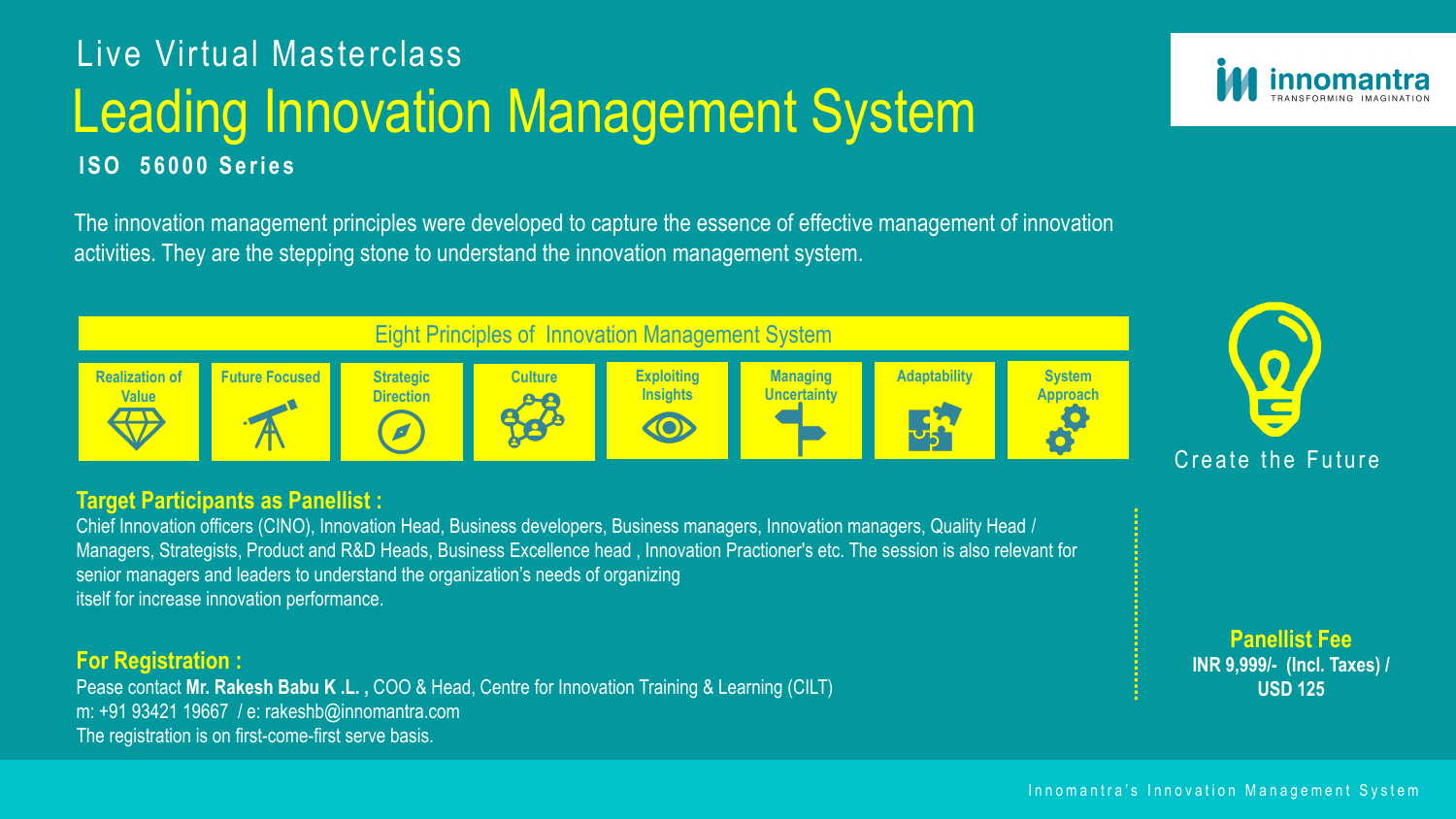The innovation management principles were developed to capture the essence of effective management of innovation activities. They are the stepping stone to understand the innovation management system.

Innomantra's Innovation Management System



#### **Target Participants as Panellist :**

Chief Innovation officers (CINO), Innovation Head, Business developers, Business managers, Innovation managers, Quality Head / Managers, Strategists, Product and R&D Heads, Business Excellence head , Innovation Practioner's etc. The session is also relevant for senior managers and leaders to understand the organization's needs of organizing itself for increase innovation performance.

# Leading Innovation Management System Live Virtual Masterclass **ISO 56000 Series**

#### **For Registration :**

Pease contact **Mr. Rakesh Babu K .L. ,** COO & Head, Centre for Innovation Training & Learning (CILT) m: +91 93421 19667 / e: rakeshb@innomantra.com The registration is on first-come-first serve basis.





**Panellist Fee INR 9,999/- (Incl. Taxes) / USD 125**

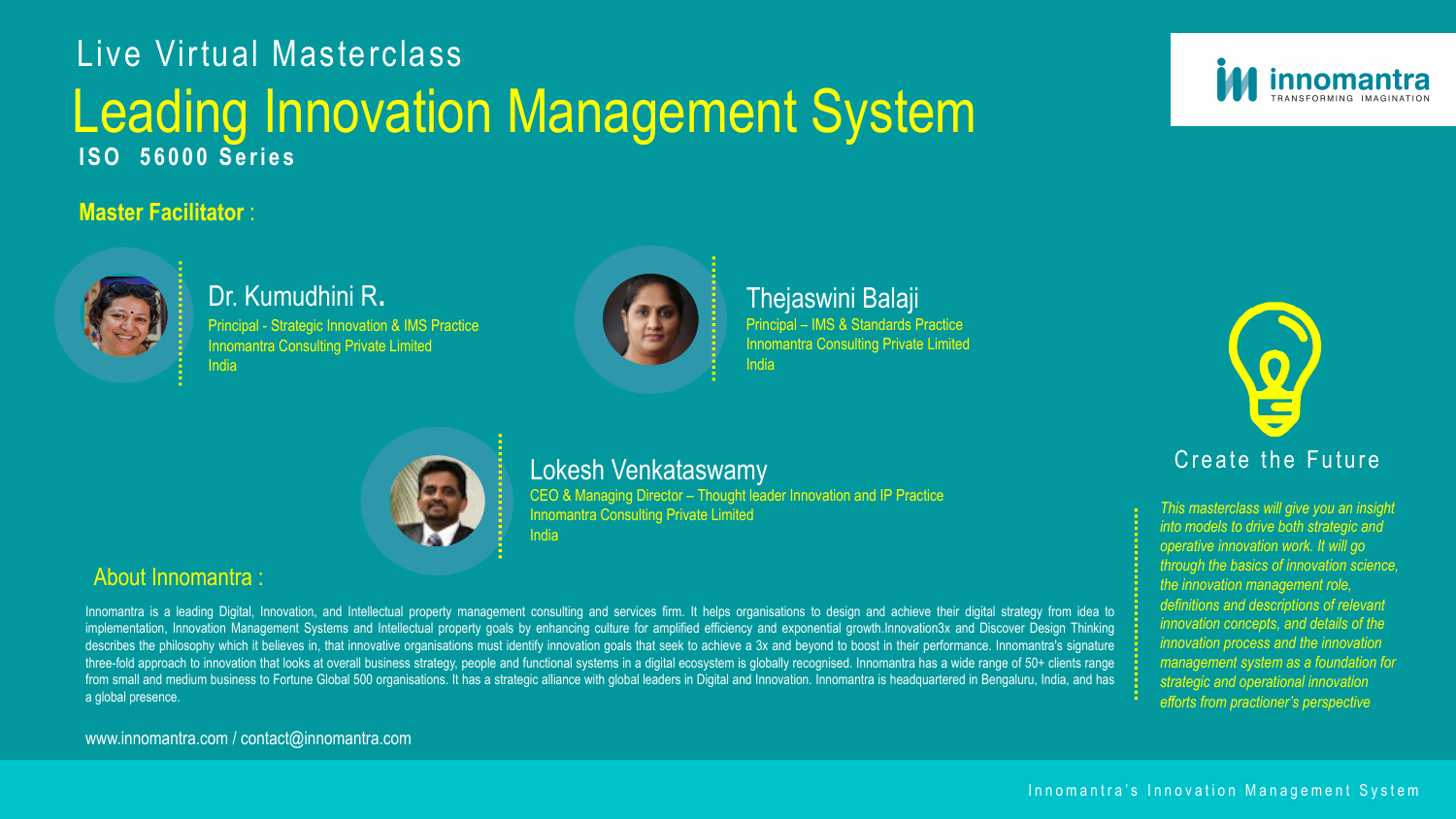

## Dr. Kumudhini R.

Principal - Strategic Innovation & IMS Practice Innomantra Consulting Private Limited India



Thejaswini Balaji Principal – IMS & Standards Practice Innomantra Consulting Private Limited



India

### **Master Facilitator** :



### About Innomantra :

Innomantra is a leading Digital, Innovation, and Intellectual property management consulting and services firm. It helps organisations to design and achieve their digital strategy from idea to implementation, Innovation Management Systems and Intellectual property goals by enhancing culture for amplified efficiency and exponential growth.Innovation3x and Discover Design Thinking describes the philosophy which it believes in, that innovative organisations must identify innovation goals that seek to achieve a 3x and beyond to boost in their performance. Innomantra's signature three-fold approach to innovation that looks at overall business strategy, people and functional systems in a digital ecosystem is globally recognised. Innomantra has a wide range of 50+ clients range from small and medium business to Fortune Global 500 organisations. It has a strategic alliance with global leaders in Digital and Innovation. Innomantra is headquartered in Bengaluru, India, and has a global presence.

## Leading Innovation Management System Live Virtual Masterclass **ISO 56000 Series**

CEO & Managing Director – Thought leader Innovation and IP Practice Innomantra Consulting Private Limited **India** 

www.innomantra.com / contact@innomantra.com





*This masterclass will give you an insight into models to drive both strategic and operative innovation work. It will go through the basics of innovation science, the innovation management role, definitions and descriptions of relevant innovation concepts, and details of the innovation process and the innovation management system as a foundation for strategic and operational innovation efforts from practioner's perspective* 

### Lokesh Venkataswamy